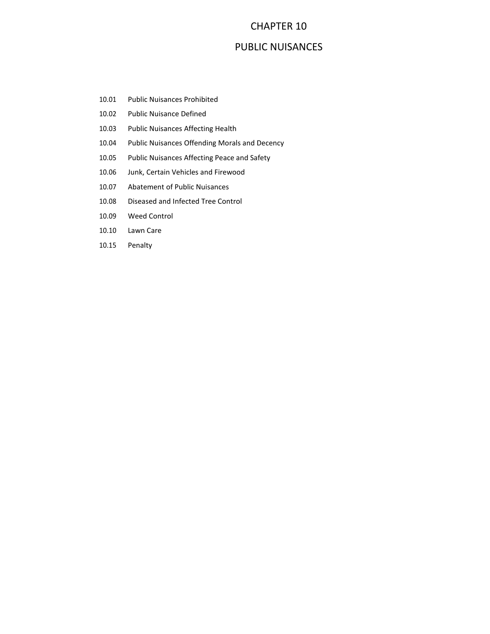## CHAPTER 10

## PUBLIC NUISANCES

- 10.01 Public Nuisances Prohibited
- 10.02 Public Nuisance Defined
- 10.03 Public Nuisances Affecting Health
- 10.04 Public Nuisances Offending Morals and Decency
- 10.05 Public Nuisances Affecting Peace and Safety
- 10.06 Junk, Certain Vehicles and Firewood
- 10.07 Abatement of Public Nuisances
- 10.08 Diseased and Infected Tree Control
- 10.09 Weed Control
- 10.10 Lawn Care
- 10.15 Penalty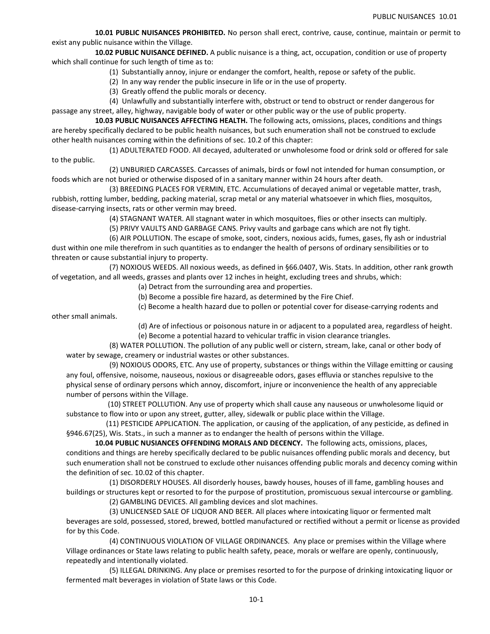**10.01 PUBLIC NUISANCES PROHIBITED.** No person shall erect, contrive, cause, continue, maintain or permit to exist any public nuisance within the Village.

**10.02 PUBLIC NUISANCE DEFINED.** A public nuisance is a thing, act, occupation, condition or use of property which shall continue for such length of time as to:

(1) Substantially annoy, injure or endanger the comfort, health, repose or safety of the public.

(2) In any way render the public insecure in life or in the use of property.

(3) Greatly offend the public morals or decency.

(4) Unlawfully and substantially interfere with, obstruct or tend to obstruct or render dangerous for passage any street, alley, highway, navigable body of water or other public way or the use of public property.

**10.03 PUBLIC NUISANCES AFFECTING HEALTH.** The following acts, omissions, places, conditions and things are hereby specifically declared to be public health nuisances, but such enumeration shall not be construed to exclude other health nuisances coming within the definitions of sec. 10.2 of this chapter:

 (1) ADULTERATED FOOD. All decayed, adulterated or unwholesome food or drink sold or offered for sale to the public.

(2) UNBURIED CARCASSES. Carcasses of animals, birds or fowl not intended for human consumption, or foods which are not buried or otherwise disposed of in a sanitary manner within 24 hours after death.

 (3) BREEDING PLACES FOR VERMIN, ETC. Accumulations of decayed animal or vegetable matter, trash, rubbish, rotting lumber, bedding, packing material, scrap metal or any material whatsoever in which flies, mosquitos, disease-carrying insects, rats or other vermin may breed.

(4) STAGNANT WATER. All stagnant water in which mosquitoes, flies or other insects can multiply.

(5) PRIVY VAULTS AND GARBAGE CANS. Privy vaults and garbage cans which are not fly tight.

(6) AIR POLLUTION. The escape of smoke, soot, cinders, noxious acids, fumes, gases, fly ash or industrial dust within one mile therefrom in such quantities as to endanger the health of persons of ordinary sensibilities or to threaten or cause substantial injury to property.

(7) NOXIOUS WEEDS. All noxious weeds, as defined in §66.0407, Wis. Stats. In addition, other rank growth of vegetation, and all weeds, grasses and plants over 12 inches in height, excluding trees and shrubs, which:

(a) Detract from the surrounding area and properties.

(b) Become a possible fire hazard, as determined by the Fire Chief.

(c) Become a health hazard due to pollen or potential cover for disease-carrying rodents and

other small animals.

(d) Are of infectious or poisonous nature in or adjacent to a populated area, regardless of height.

(e) Become a potential hazard to vehicular traffic in vision clearance triangles.

(8) WATER POLLUTION. The pollution of any public well or cistern, stream, lake, canal or other body of water by sewage, creamery or industrial wastes or other substances.

(9) NOXIOUS ODORS, ETC. Any use of property, substances or things within the Village emitting or causing any foul, offensive, noisome, nauseous, noxious or disagreeable odors, gases effluvia or stanches repulsive to the physical sense of ordinary persons which annoy, discomfort, injure or inconvenience the health of any appreciable number of persons within the Village.

 (10) STREET POLLUTION. Any use of property which shall cause any nauseous or unwholesome liquid or substance to flow into or upon any street, gutter, alley, sidewalk or public place within the Village.

 (11) PESTICIDE APPLICATION. The application, or causing of the application, of any pesticide, as defined in §946.67(25), Wis. Stats., in such a manner as to endanger the health of persons within the Village.

**10.04 PUBLIC NUSIANCES OFFENDING MORALS AND DECENCY.** The following acts, omissions, places, conditions and things are hereby specifically declared to be public nuisances offending public morals and decency, but such enumeration shall not be construed to exclude other nuisances offending public morals and decency coming within the definition of sec. 10.02 of this chapter.

 (1) DISORDERLY HOUSES. All disorderly houses, bawdy houses, houses of ill fame, gambling houses and buildings or structures kept or resorted to for the purpose of prostitution, promiscuous sexual intercourse or gambling.

(2) GAMBLING DEVICES. All gambling devices and slot machines.

(3) UNLICENSED SALE OF LIQUOR AND BEER. All places where intoxicating liquor or fermented malt beverages are sold, possessed, stored, brewed, bottled manufactured or rectified without a permit or license as provided for by this Code.

(4) CONTINUOUS VIOLATION OF VILLAGE ORDINANCES. Any place or premises within the Village where Village ordinances or State laws relating to public health safety, peace, morals or welfare are openly, continuously, repeatedly and intentionally violated.

(5) ILLEGAL DRINKING. Any place or premises resorted to for the purpose of drinking intoxicating liquor or fermented malt beverages in violation of State laws or this Code.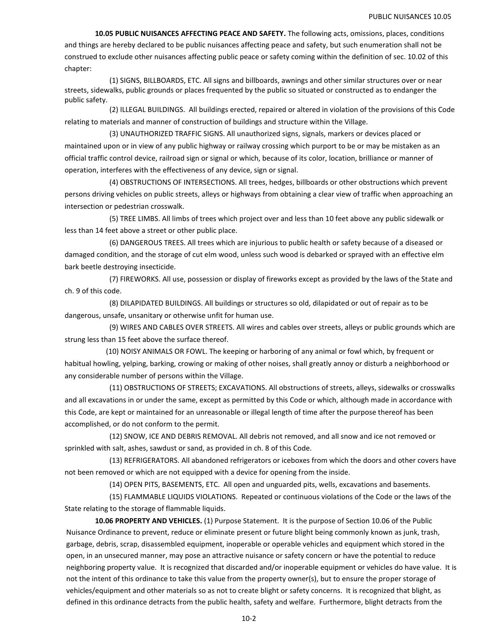**10.05 PUBLIC NUISANCES AFFECTING PEACE AND SAFETY.** The following acts, omissions, places, conditions and things are hereby declared to be public nuisances affecting peace and safety, but such enumeration shall not be construed to exclude other nuisances affecting public peace or safety coming within the definition of sec. 10.02 of this chapter:

(1) SIGNS, BILLBOARDS, ETC. All signs and billboards, awnings and other similar structures over or near streets, sidewalks, public grounds or places frequented by the public so situated or constructed as to endanger the public safety.

(2) ILLEGAL BUILDINGS. All buildings erected, repaired or altered in violation of the provisions of this Code relating to materials and manner of construction of buildings and structure within the Village.

(3) UNAUTHORIZED TRAFFIC SIGNS. All unauthorized signs, signals, markers or devices placed or maintained upon or in view of any public highway or railway crossing which purport to be or may be mistaken as an official traffic control device, railroad sign or signal or which, because of its color, location, brilliance or manner of operation, interferes with the effectiveness of any device, sign or signal.

(4) OBSTRUCTIONS OF INTERSECTIONS. All trees, hedges, billboards or other obstructions which prevent persons driving vehicles on public streets, alleys or highways from obtaining a clear view of traffic when approaching an intersection or pedestrian crosswalk.

(5) TREE LIMBS. All limbs of trees which project over and less than 10 feet above any public sidewalk or less than 14 feet above a street or other public place.

(6) DANGEROUS TREES. All trees which are injurious to public health or safety because of a diseased or damaged condition, and the storage of cut elm wood, unless such wood is debarked or sprayed with an effective elm bark beetle destroying insecticide.

(7) FIREWORKS. All use, possession or display of fireworks except as provided by the laws of the State and ch. 9 of this code.

(8) DILAPIDATED BUILDINGS. All buildings or structures so old, dilapidated or out of repair as to be dangerous, unsafe, unsanitary or otherwise unfit for human use.

(9) WIRES AND CABLES OVER STREETS. All wires and cables over streets, alleys or public grounds which are strung less than 15 feet above the surface thereof.

 (10) NOISY ANIMALS OR FOWL. The keeping or harboring of any animal or fowl which, by frequent or habitual howling, yelping, barking, crowing or making of other noises, shall greatly annoy or disturb a neighborhood or any considerable number of persons within the Village.

(11) OBSTRUCTIONS OF STREETS; EXCAVATIONS. All obstructions of streets, alleys, sidewalks or crosswalks and all excavations in or under the same, except as permitted by this Code or which, although made in accordance with this Code, are kept or maintained for an unreasonable or illegal length of time after the purpose thereof has been accomplished, or do not conform to the permit.

(12) SNOW, ICE AND DEBRIS REMOVAL. All debris not removed, and all snow and ice not removed or sprinkled with salt, ashes, sawdust or sand, as provided in ch. 8 of this Code.

(13) REFRIGERATORS. All abandoned refrigerators or iceboxes from which the doors and other covers have not been removed or which are not equipped with a device for opening from the inside.

(14) OPEN PITS, BASEMENTS, ETC. All open and unguarded pits, wells, excavations and basements.

(15) FLAMMABLE LIQUIDS VIOLATIONS. Repeated or continuous violations of the Code or the laws of the State relating to the storage of flammable liquids.

**10.06 PROPERTY AND VEHICLES.** (1) Purpose Statement. It is the purpose of Section 10.06 of the Public Nuisance Ordinance to prevent, reduce or eliminate present or future blight being commonly known as junk, trash, garbage, debris, scrap, disassembled equipment, inoperable or operable vehicles and equipment which stored in the open, in an unsecured manner, may pose an attractive nuisance or safety concern or have the potential to reduce neighboring property value. It is recognized that discarded and/or inoperable equipment or vehicles do have value. It is not the intent of this ordinance to take this value from the property owner(s), but to ensure the proper storage of vehicles/equipment and other materials so as not to create blight or safety concerns. It is recognized that blight, as defined in this ordinance detracts from the public health, safety and welfare. Furthermore, blight detracts from the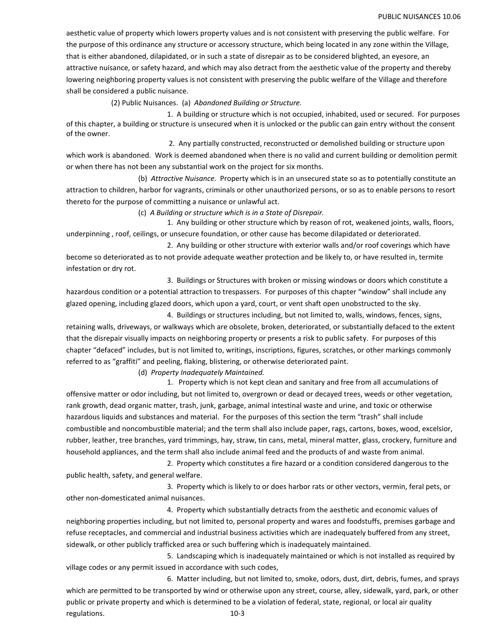aesthetic value of property which lowers property values and is not consistent with preserving the public welfare. For the purpose of this ordinance any structure or accessory structure, which being located in any zone within the Village, that is either abandoned, dilapidated, or in such a state of disrepair as to be considered blighted, an eyesore, an attractive nuisance, or safety hazard, and which may also detract from the aesthetic value of the property and thereby lowering neighboring property values is not consistent with preserving the public welfare of the Village and therefore shall be considered a public nuisance.

(2) Public Nuisances. (a) *Abandoned Building or Structure.*

 1. A building or structure which is not occupied, inhabited, used or secured. For purposes of this chapter, a building or structure is unsecured when it is unlocked or the public can gain entry without the consent of the owner.

 2. Any partially constructed, reconstructed or demolished building or structure upon which work is abandoned. Work is deemed abandoned when there is no valid and current building or demolition permit or when there has not been any substantial work on the project for six months.

(b) *Attractive Nuisance.* Property which is in an unsecured state so as to potentially constitute an attraction to children, harbor for vagrants, criminals or other unauthorized persons, or so as to enable persons to resort thereto for the purpose of committing a nuisance or unlawful act.

(c) *A Building or structure which is in a State of Disrepair.*

 1. Any building or other structure which by reason of rot, weakened joints, walls, floors, underpinning , roof, ceilings, or unsecure foundation, or other cause has become dilapidated or deteriorated.

 2. Any building or other structure with exterior walls and/or roof coverings which have become so deteriorated as to not provide adequate weather protection and be likely to, or have resulted in, termite infestation or dry rot.

 3. Buildings or Structures with broken or missing windows or doors which constitute a hazardous condition or a potential attraction to trespassers. For purposes of this chapter "window" shall include any glazed opening, including glazed doors, which upon a yard, court, or vent shaft open unobstructed to the sky.

 4. Buildings or structures including, but not limited to, walls, windows, fences, signs, retaining walls, driveways, or walkways which are obsolete, broken, deteriorated, or substantially defaced to the extent that the disrepair visually impacts on neighboring property or presents a risk to public safety. For purposes of this chapter "defaced" includes, but is not limited to, writings, inscriptions, figures, scratches, or other markings commonly referred to as "graffiti" and peeling, flaking, blistering, or otherwise deteriorated paint.

(d) *Property Inadequately Maintained.* 

1. Property which is not kept clean and sanitary and free from all accumulations of offensive matter or odor including, but not limited to, overgrown or dead or decayed trees, weeds or other vegetation, rank growth, dead organic matter, trash, junk, garbage, animal intestinal waste and urine, and toxic or otherwise hazardous liquids and substances and material. For the purposes of this section the term "trash" shall include combustible and noncombustible material; and the term shall also include paper, rags, cartons, boxes, wood, excelsior, rubber, leather, tree branches, yard trimmings, hay, straw, tin cans, metal, mineral matter, glass, crockery, furniture and household appliances, and the term shall also include animal feed and the products of and waste from animal.

2. Property which constitutes a fire hazard or a condition considered dangerous to the public health, safety, and general welfare.

 3. Property which is likely to or does harbor rats or other vectors, vermin, feral pets, or other non-domesticated animal nuisances.

 4. Property which substantially detracts from the aesthetic and economic values of neighboring properties including, but not limited to, personal property and wares and foodstuffs, premises garbage and refuse receptacles, and commercial and industrial business activities which are inadequately buffered from any street, sidewalk, or other publicly trafficked area or such buffering which is inadequately maintained.

 5. Landscaping which is inadequately maintained or which is not installed as required by village codes or any permit issued in accordance with such codes,

 6. Matter including, but not limited to, smoke, odors, dust, dirt, debris, fumes, and sprays which are permitted to be transported by wind or otherwise upon any street, course, alley, sidewalk, yard, park, or other public or private property and which is determined to be a violation of federal, state, regional, or local air quality regulations. 10-3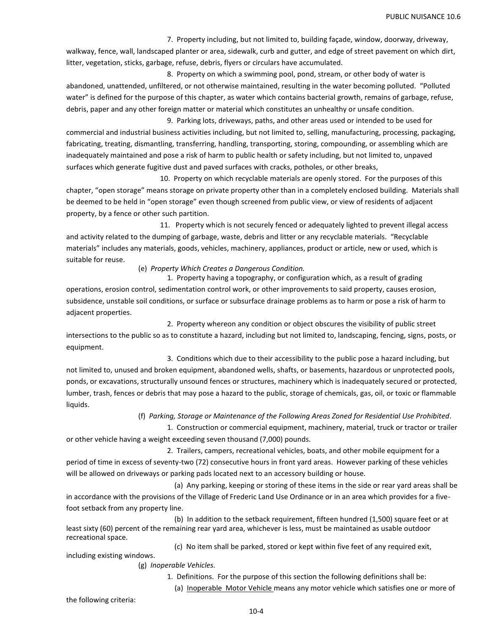7. Property including, but not limited to, building façade, window, doorway, driveway, walkway, fence, wall, landscaped planter or area, sidewalk, curb and gutter, and edge of street pavement on which dirt, litter, vegetation, sticks, garbage, refuse, debris, flyers or circulars have accumulated.

 8. Property on which a swimming pool, pond, stream, or other body of water is abandoned, unattended, unfiltered, or not otherwise maintained, resulting in the water becoming polluted. "Polluted water" is defined for the purpose of this chapter, as water which contains bacterial growth, remains of garbage, refuse, debris, paper and any other foreign matter or material which constitutes an unhealthy or unsafe condition.

 9. Parking lots, driveways, paths, and other areas used or intended to be used for commercial and industrial business activities including, but not limited to, selling, manufacturing, processing, packaging, fabricating, treating, dismantling, transferring, handling, transporting, storing, compounding, or assembling which are inadequately maintained and pose a risk of harm to public health or safety including, but not limited to, unpaved surfaces which generate fugitive dust and paved surfaces with cracks, potholes, or other breaks,

 10. Property on which recyclable materials are openly stored. For the purposes of this chapter, "open storage" means storage on private property other than in a completely enclosed building. Materials shall be deemed to be held in "open storage" even though screened from public view, or view of residents of adjacent property, by a fence or other such partition.

 11. Property which is not securely fenced or adequately lighted to prevent illegal access and activity related to the dumping of garbage, waste, debris and litter or any recyclable materials. "Recyclable materials" includes any materials, goods, vehicles, machinery, appliances, product or article, new or used, which is suitable for reuse.

(e) *Property Which Creates a Dangerous Condition.* 

1. Property having a topography, or configuration which, as a result of grading operations, erosion control, sedimentation control work, or other improvements to said property, causes erosion, subsidence, unstable soil conditions, or surface or subsurface drainage problems as to harm or pose a risk of harm to adjacent properties.

 2. Property whereon any condition or object obscures the visibility of public street intersections to the public so as to constitute a hazard, including but not limited to, landscaping, fencing, signs, posts, or equipment.

 3. Conditions which due to their accessibility to the public pose a hazard including, but not limited to, unused and broken equipment, abandoned wells, shafts, or basements, hazardous or unprotected pools, ponds, or excavations, structurally unsound fences or structures, machinery which is inadequately secured or protected, lumber, trash, fences or debris that may pose a hazard to the public, storage of chemicals, gas, oil, or toxic or flammable liquids.

(f) *Parking, Storage or Maintenance of the Following Areas Zoned for Residential Use Prohibited.*

1. Construction or commercial equipment, machinery, material, truck or tractor or trailer or other vehicle having a weight exceeding seven thousand (7,000) pounds.

 2. Trailers, campers, recreational vehicles, boats, and other mobile equipment for a period of time in excess of seventy-two (72) consecutive hours in front yard areas. However parking of these vehicles will be allowed on driveways or parking pads located next to an accessory building or house.

 (a) Any parking, keeping or storing of these items in the side or rear yard areas shall be in accordance with the provisions of the Village of Frederic Land Use Ordinance or in an area which provides for a fivefoot setback from any property line.

 (b) In addition to the setback requirement, fifteen hundred (1,500) square feet or at least sixty (60) percent of the remaining rear yard area, whichever is less, must be maintained as usable outdoor recreational space.

(c) No item shall be parked, stored or kept within five feet of any required exit,

(g) *Inoperable Vehicles.* 

1. Definitions. For the purpose of this section the following definitions shall be:

(a) Inoperable Motor Vehicle means any motor vehicle which satisfies one or more of

the following criteria:

including existing windows.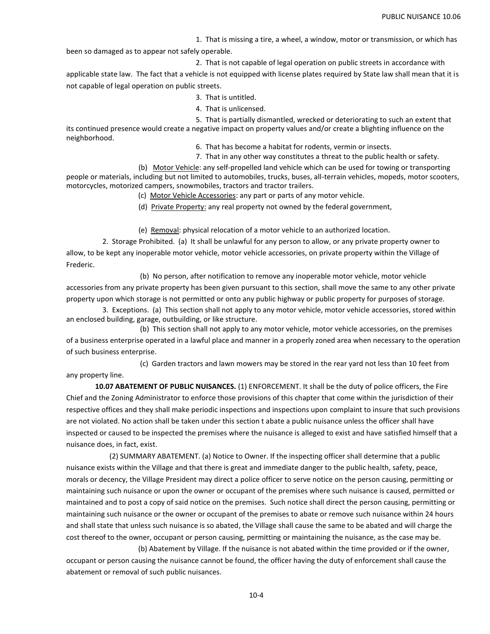1. That is missing a tire, a wheel, a window, motor or transmission, or which has

been so damaged as to appear not safely operable.

2. That is not capable of legal operation on public streets in accordance with

applicable state law. The fact that a vehicle is not equipped with license plates required by State law shall mean that it is not capable of legal operation on public streets.

- 3. That is untitled.
- 4. That is unlicensed.

 5. That is partially dismantled, wrecked or deteriorating to such an extent that its continued presence would create a negative impact on property values and/or create a blighting influence on the neighborhood.

6. That has become a habitat for rodents, vermin or insects.

7. That in any other way constitutes a threat to the public health or safety.

(b) Motor Vehicle: any self-propelled land vehicle which can be used for towing or transporting people or materials, including but not limited to automobiles, trucks, buses, all-terrain vehicles, mopeds, motor scooters, motorcycles, motorized campers, snowmobiles, tractors and tractor trailers.

- (c) Motor Vehicle Accessories: any part or parts of any motor vehicle.
- (d) Private Property: any real property not owned by the federal government,

(e) Removal: physical relocation of a motor vehicle to an authorized location.

 2. Storage Prohibited. (a) It shall be unlawful for any person to allow, or any private property owner to allow, to be kept any inoperable motor vehicle, motor vehicle accessories, on private property within the Village of Frederic.

(b) No person, after notification to remove any inoperable motor vehicle, motor vehicle accessories from any private property has been given pursuant to this section, shall move the same to any other private property upon which storage is not permitted or onto any public highway or public property for purposes of storage.

 3. Exceptions. (a) This section shall not apply to any motor vehicle, motor vehicle accessories, stored within an enclosed building, garage, outbuilding, or like structure.

(b) This section shall not apply to any motor vehicle, motor vehicle accessories, on the premises of a business enterprise operated in a lawful place and manner in a properly zoned area when necessary to the operation of such business enterprise.

(c) Garden tractors and lawn mowers may be stored in the rear yard not less than 10 feet from any property line.

 **10.07 ABATEMENT OF PUBLIC NUISANCES.** (1) ENFORCEMENT. It shall be the duty of police officers, the Fire Chief and the Zoning Administrator to enforce those provisions of this chapter that come within the jurisdiction of their respective offices and they shall make periodic inspections and inspections upon complaint to insure that such provisions are not violated. No action shall be taken under this section t abate a public nuisance unless the officer shall have inspected or caused to be inspected the premises where the nuisance is alleged to exist and have satisfied himself that a nuisance does, in fact, exist.

(2) SUMMARY ABATEMENT. (a) Notice to Owner. If the inspecting officer shall determine that a public nuisance exists within the Village and that there is great and immediate danger to the public health, safety, peace, morals or decency, the Village President may direct a police officer to serve notice on the person causing, permitting or maintaining such nuisance or upon the owner or occupant of the premises where such nuisance is caused, permitted or maintained and to post a copy of said notice on the premises. Such notice shall direct the person causing, permitting or maintaining such nuisance or the owner or occupant of the premises to abate or remove such nuisance within 24 hours and shall state that unless such nuisance is so abated, the Village shall cause the same to be abated and will charge the cost thereof to the owner, occupant or person causing, permitting or maintaining the nuisance, as the case may be.

(b) Abatement by Village. If the nuisance is not abated within the time provided or if the owner, occupant or person causing the nuisance cannot be found, the officer having the duty of enforcement shall cause the abatement or removal of such public nuisances.